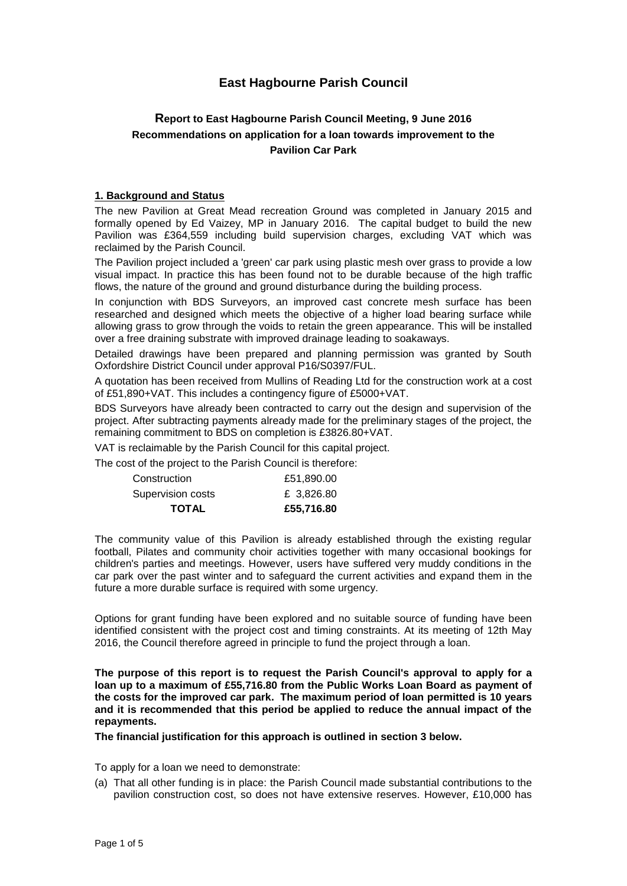# **East Hagbourne Parish Council**

## **Report to East Hagbourne Parish Council Meeting, 9 June 2016 Recommendations on application for a loan towards improvement to the Pavilion Car Park**

## **1. Background and Status**

The new Pavilion at Great Mead recreation Ground was completed in January 2015 and formally opened by Ed Vaizey, MP in January 2016. The capital budget to build the new Pavilion was £364,559 including build supervision charges, excluding VAT which was reclaimed by the Parish Council.

The Pavilion project included a 'green' car park using plastic mesh over grass to provide a low visual impact. In practice this has been found not to be durable because of the high traffic flows, the nature of the ground and ground disturbance during the building process.

In conjunction with BDS Surveyors, an improved cast concrete mesh surface has been researched and designed which meets the objective of a higher load bearing surface while allowing grass to grow through the voids to retain the green appearance. This will be installed over a free draining substrate with improved drainage leading to soakaways.

Detailed drawings have been prepared and planning permission was granted by South Oxfordshire District Council under approval P16/S0397/FUL.

A quotation has been received from Mullins of Reading Ltd for the construction work at a cost of £51,890+VAT. This includes a contingency figure of £5000+VAT.

BDS Surveyors have already been contracted to carry out the design and supervision of the project. After subtracting payments already made for the preliminary stages of the project, the remaining commitment to BDS on completion is £3826.80+VAT.

VAT is reclaimable by the Parish Council for this capital project.

The cost of the project to the Parish Council is therefore:

| <b>TOTAL</b>      | £55,716.80 |
|-------------------|------------|
| Supervision costs | £ 3.826.80 |
| Construction      | £51,890.00 |

The community value of this Pavilion is already established through the existing regular football, Pilates and community choir activities together with many occasional bookings for children's parties and meetings. However, users have suffered very muddy conditions in the car park over the past winter and to safeguard the current activities and expand them in the future a more durable surface is required with some urgency.

Options for grant funding have been explored and no suitable source of funding have been identified consistent with the project cost and timing constraints. At its meeting of 12th May 2016, the Council therefore agreed in principle to fund the project through a loan.

**The purpose of this report is to request the Parish Council's approval to apply for a loan up to a maximum of £55,716.80 from the Public Works Loan Board as payment of the costs for the improved car park. The maximum period of loan permitted is 10 years and it is recommended that this period be applied to reduce the annual impact of the repayments.**

**The financial justification for this approach is outlined in section 3 below.**

To apply for a loan we need to demonstrate:

(a) That all other funding is in place: the Parish Council made substantial contributions to the pavilion construction cost, so does not have extensive reserves. However, £10,000 has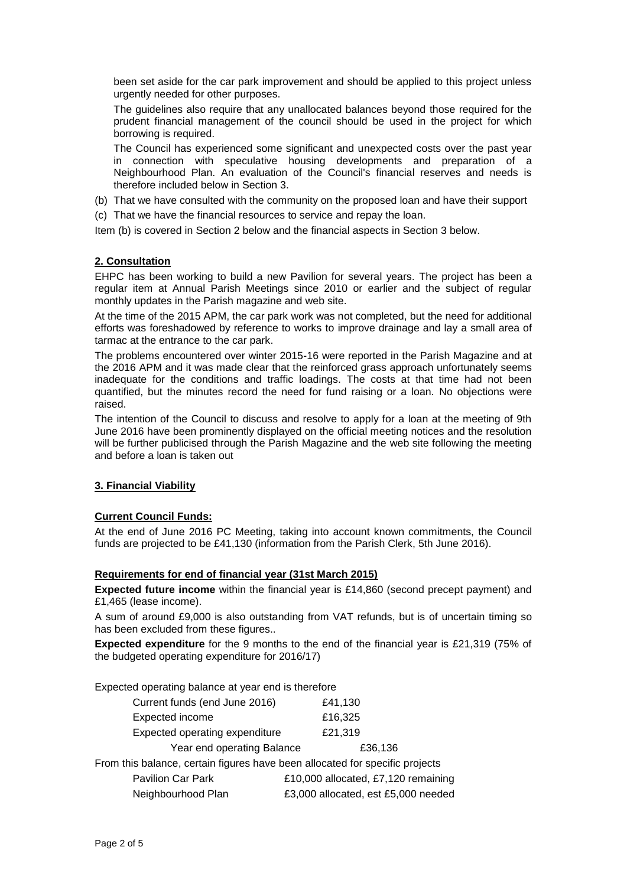been set aside for the car park improvement and should be applied to this project unless urgently needed for other purposes.

The guidelines also require that any unallocated balances beyond those required for the prudent financial management of the council should be used in the project for which borrowing is required.

The Council has experienced some significant and unexpected costs over the past year in connection with speculative housing developments and preparation of a Neighbourhood Plan. An evaluation of the Council's financial reserves and needs is therefore included below in Section 3.

- (b) That we have consulted with the community on the proposed loan and have their support
- (c) That we have the financial resources to service and repay the loan.

Item (b) is covered in Section 2 below and the financial aspects in Section 3 below.

## **2. Consultation**

EHPC has been working to build a new Pavilion for several years. The project has been a regular item at Annual Parish Meetings since 2010 or earlier and the subject of regular monthly updates in the Parish magazine and web site.

At the time of the 2015 APM, the car park work was not completed, but the need for additional efforts was foreshadowed by reference to works to improve drainage and lay a small area of tarmac at the entrance to the car park.

The problems encountered over winter 2015-16 were reported in the Parish Magazine and at the 2016 APM and it was made clear that the reinforced grass approach unfortunately seems inadequate for the conditions and traffic loadings. The costs at that time had not been quantified, but the minutes record the need for fund raising or a loan. No objections were raised.

The intention of the Council to discuss and resolve to apply for a loan at the meeting of 9th June 2016 have been prominently displayed on the official meeting notices and the resolution will be further publicised through the Parish Magazine and the web site following the meeting and before a loan is taken out

## **3. Financial Viability**

### **Current Council Funds:**

At the end of June 2016 PC Meeting, taking into account known commitments, the Council funds are projected to be £41,130 (information from the Parish Clerk, 5th June 2016).

#### **Requirements for end of financial year (31st March 2015)**

**Expected future income** within the financial year is £14,860 (second precept payment) and £1,465 (lease income).

A sum of around £9,000 is also outstanding from VAT refunds, but is of uncertain timing so has been excluded from these figures..

**Expected expenditure** for the 9 months to the end of the financial year is £21,319 (75% of the budgeted operating expenditure for 2016/17)

Expected operating balance at year end is therefore

| Current funds (end June 2016)                                                | £41,130                             |
|------------------------------------------------------------------------------|-------------------------------------|
| Expected income                                                              | £16,325                             |
| Expected operating expenditure                                               | £21,319                             |
| Year end operating Balance                                                   | £36,136                             |
| From this balance, certain figures have been allocated for specific projects |                                     |
| <b>Pavilion Car Park</b>                                                     | £10,000 allocated, £7,120 remaining |
| Neighbourhood Plan                                                           | £3,000 allocated, est £5,000 needed |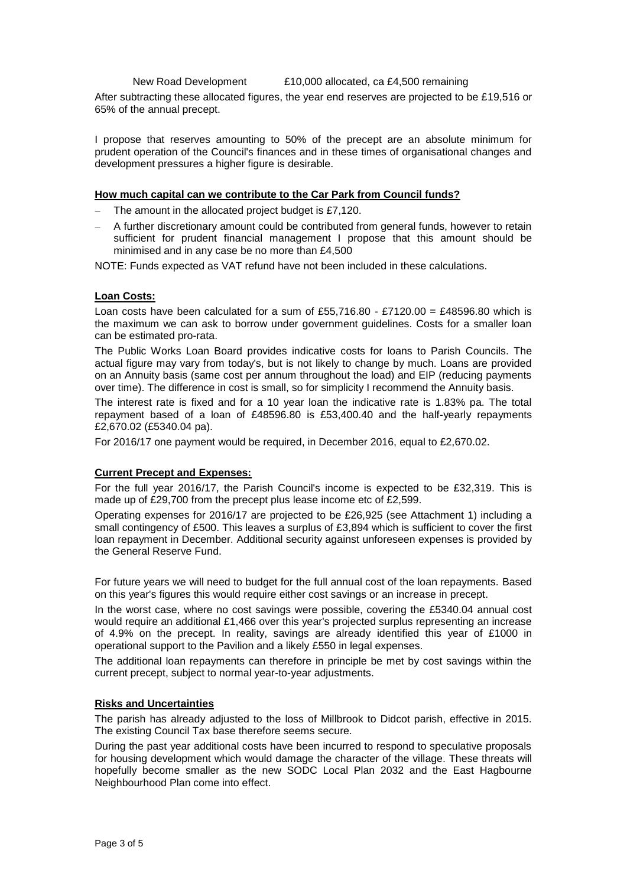New Road Development £10,000 allocated, ca £4,500 remaining

After subtracting these allocated figures, the year end reserves are projected to be £19,516 or 65% of the annual precept.

I propose that reserves amounting to 50% of the precept are an absolute minimum for prudent operation of the Council's finances and in these times of organisational changes and development pressures a higher figure is desirable.

#### **How much capital can we contribute to the Car Park from Council funds?**

The amount in the allocated project budget is £7,120.

 A further discretionary amount could be contributed from general funds, however to retain sufficient for prudent financial management I propose that this amount should be minimised and in any case be no more than £4,500

NOTE: Funds expected as VAT refund have not been included in these calculations.

#### **Loan Costs:**

Loan costs have been calculated for a sum of £55,716.80 - £7120.00 = £48596.80 which is the maximum we can ask to borrow under government guidelines. Costs for a smaller loan can be estimated pro-rata.

The Public Works Loan Board provides indicative costs for loans to Parish Councils. The actual figure may vary from today's, but is not likely to change by much. Loans are provided on an Annuity basis (same cost per annum throughout the load) and EIP (reducing payments over time). The difference in cost is small, so for simplicity I recommend the Annuity basis.

The interest rate is fixed and for a 10 year loan the indicative rate is 1.83% pa. The total repayment based of a loan of £48596.80 is £53,400.40 and the half-yearly repayments £2,670.02 (£5340.04 pa).

For 2016/17 one payment would be required, in December 2016, equal to £2,670.02.

#### **Current Precept and Expenses:**

For the full year 2016/17, the Parish Council's income is expected to be £32,319. This is made up of £29,700 from the precept plus lease income etc of £2,599.

Operating expenses for 2016/17 are projected to be £26,925 (see Attachment 1) including a small contingency of £500. This leaves a surplus of £3,894 which is sufficient to cover the first loan repayment in December. Additional security against unforeseen expenses is provided by the General Reserve Fund.

For future years we will need to budget for the full annual cost of the loan repayments. Based on this year's figures this would require either cost savings or an increase in precept.

In the worst case, where no cost savings were possible, covering the £5340.04 annual cost would require an additional £1,466 over this year's projected surplus representing an increase of 4.9% on the precept. In reality, savings are already identified this year of £1000 in operational support to the Pavilion and a likely £550 in legal expenses.

The additional loan repayments can therefore in principle be met by cost savings within the current precept, subject to normal year-to-year adjustments.

#### **Risks and Uncertainties**

The parish has already adjusted to the loss of Millbrook to Didcot parish, effective in 2015. The existing Council Tax base therefore seems secure.

During the past year additional costs have been incurred to respond to speculative proposals for housing development which would damage the character of the village. These threats will hopefully become smaller as the new SODC Local Plan 2032 and the East Hagbourne Neighbourhood Plan come into effect.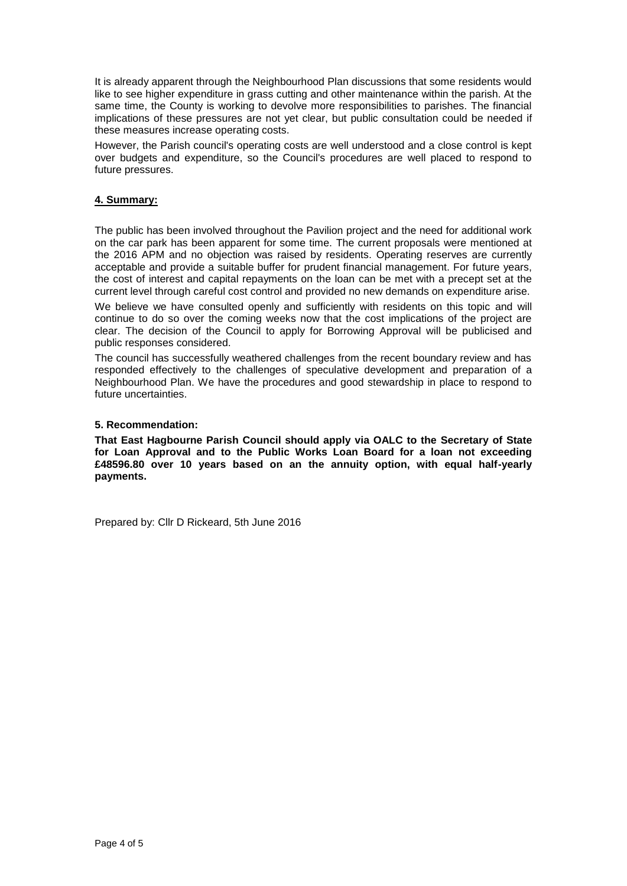It is already apparent through the Neighbourhood Plan discussions that some residents would like to see higher expenditure in grass cutting and other maintenance within the parish. At the same time, the County is working to devolve more responsibilities to parishes. The financial implications of these pressures are not yet clear, but public consultation could be needed if these measures increase operating costs.

However, the Parish council's operating costs are well understood and a close control is kept over budgets and expenditure, so the Council's procedures are well placed to respond to future pressures.

## **4. Summary:**

The public has been involved throughout the Pavilion project and the need for additional work on the car park has been apparent for some time. The current proposals were mentioned at the 2016 APM and no objection was raised by residents. Operating reserves are currently acceptable and provide a suitable buffer for prudent financial management. For future years, the cost of interest and capital repayments on the loan can be met with a precept set at the current level through careful cost control and provided no new demands on expenditure arise.

We believe we have consulted openly and sufficiently with residents on this topic and will continue to do so over the coming weeks now that the cost implications of the project are clear. The decision of the Council to apply for Borrowing Approval will be publicised and public responses considered.

The council has successfully weathered challenges from the recent boundary review and has responded effectively to the challenges of speculative development and preparation of a Neighbourhood Plan. We have the procedures and good stewardship in place to respond to future uncertainties.

#### **5. Recommendation:**

**That East Hagbourne Parish Council should apply via OALC to the Secretary of State for Loan Approval and to the Public Works Loan Board for a loan not exceeding £48596.80 over 10 years based on an the annuity option, with equal half-yearly payments.** 

Prepared by: Cllr D Rickeard, 5th June 2016